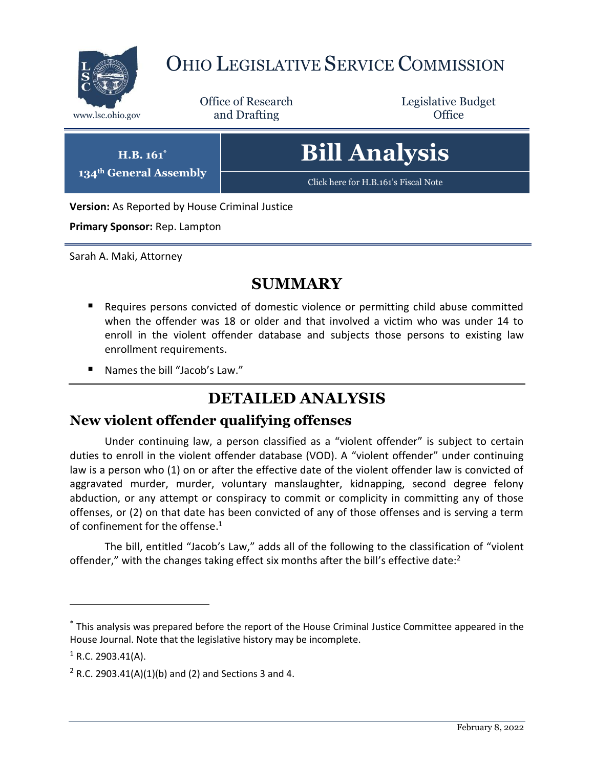

# OHIO LEGISLATIVE SERVICE COMMISSION

Office of Research www.lsc.ohio.gov **and Drafting Office** 

Legislative Budget

**H.B. 161\* 134th General Assembly** **Bill Analysis**

[Click here for H.B.161](https://www.legislature.ohio.gov/legislation/legislation-documents?id=GA134-HB-161)'s Fiscal Note

**Version:** As Reported by House Criminal Justice

**Primary Sponsor:** Rep. Lampton

Sarah A. Maki, Attorney

# **SUMMARY**

- Requires persons convicted of domestic violence or permitting child abuse committed when the offender was 18 or older and that involved a victim who was under 14 to enroll in the violent offender database and subjects those persons to existing law enrollment requirements.
- Names the bill "Jacob's Law."

# **DETAILED ANALYSIS**

#### **New violent offender qualifying offenses**

Under continuing law, a person classified as a "violent offender" is subject to certain duties to enroll in the violent offender database (VOD). A "violent offender" under continuing law is a person who (1) on or after the effective date of the violent offender law is convicted of aggravated murder, murder, voluntary manslaughter, kidnapping, second degree felony abduction, or any attempt or conspiracy to commit or complicity in committing any of those offenses, or (2) on that date has been convicted of any of those offenses and is serving a term of confinement for the offense. 1

The bill, entitled "Jacob's Law," adds all of the following to the classification of "violent offender," with the changes taking effect six months after the bill's effective date:<sup>2</sup>

<sup>\*</sup> This analysis was prepared before the report of the House Criminal Justice Committee appeared in the House Journal. Note that the legislative history may be incomplete.

 $1$  R.C. 2903.41(A).

 $2$  R.C. 2903.41(A)(1)(b) and (2) and Sections 3 and 4.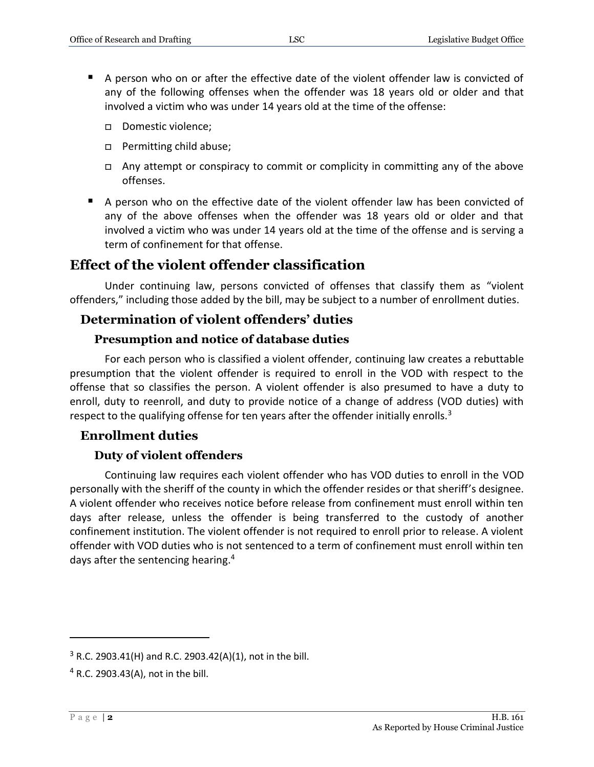- A person who on or after the effective date of the violent offender law is convicted of any of the following offenses when the offender was 18 years old or older and that involved a victim who was under 14 years old at the time of the offense:
	- Domestic violence;
	- □ Permitting child abuse;
	- $\Box$  Any attempt or conspiracy to commit or complicity in committing any of the above offenses.
- A person who on the effective date of the violent offender law has been convicted of any of the above offenses when the offender was 18 years old or older and that involved a victim who was under 14 years old at the time of the offense and is serving a term of confinement for that offense.

### **Effect of the violent offender classification**

Under continuing law, persons convicted of offenses that classify them as "violent offenders," including those added by the bill, may be subject to a number of enrollment duties.

#### **Determination of violent offenders' duties**

#### **Presumption and notice of database duties**

For each person who is classified a violent offender, continuing law creates a rebuttable presumption that the violent offender is required to enroll in the VOD with respect to the offense that so classifies the person. A violent offender is also presumed to have a duty to enroll, duty to reenroll, and duty to provide notice of a change of address (VOD duties) with respect to the qualifying offense for ten years after the offender initially enrolls. $3$ 

#### **Enrollment duties**

#### **Duty of violent offenders**

Continuing law requires each violent offender who has VOD duties to enroll in the VOD personally with the sheriff of the county in which the offender resides or that sheriff's designee. A violent offender who receives notice before release from confinement must enroll within ten days after release, unless the offender is being transferred to the custody of another confinement institution. The violent offender is not required to enroll prior to release. A violent offender with VOD duties who is not sentenced to a term of confinement must enroll within ten days after the sentencing hearing.<sup>4</sup>

 $3$  R.C. 2903.41(H) and R.C. 2903.42(A)(1), not in the bill.

<sup>4</sup> R.C. 2903.43(A), not in the bill.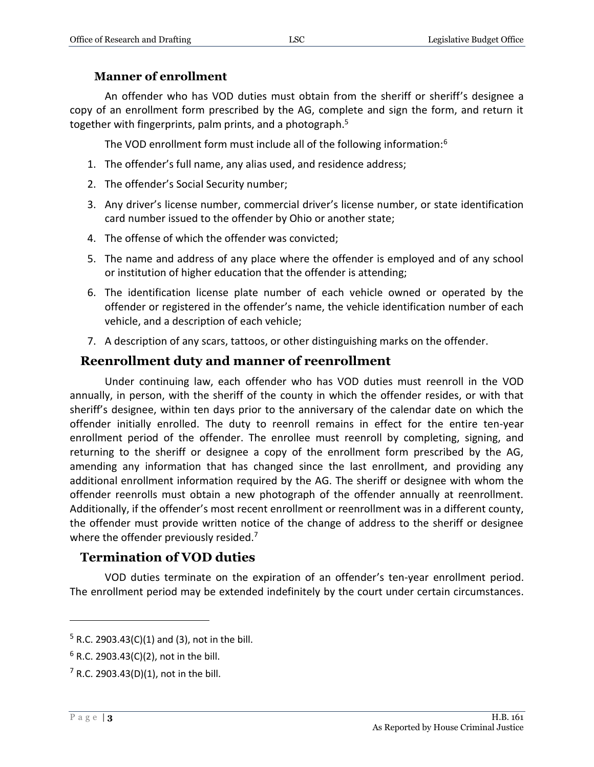#### **Manner of enrollment**

An offender who has VOD duties must obtain from the sheriff or sheriff's designee a copy of an enrollment form prescribed by the AG, complete and sign the form, and return it together with fingerprints, palm prints, and a photograph.<sup>5</sup>

The VOD enrollment form must include all of the following information:<sup>6</sup>

- 1. The offender's full name, any alias used, and residence address;
- 2. The offender's Social Security number;
- 3. Any driver's license number, commercial driver's license number, or state identification card number issued to the offender by Ohio or another state;
- 4. The offense of which the offender was convicted;
- 5. The name and address of any place where the offender is employed and of any school or institution of higher education that the offender is attending;
- 6. The identification license plate number of each vehicle owned or operated by the offender or registered in the offender's name, the vehicle identification number of each vehicle, and a description of each vehicle;
- 7. A description of any scars, tattoos, or other distinguishing marks on the offender.

## **Reenrollment duty and manner of reenrollment**

Under continuing law, each offender who has VOD duties must reenroll in the VOD annually, in person, with the sheriff of the county in which the offender resides, or with that sheriff's designee, within ten days prior to the anniversary of the calendar date on which the offender initially enrolled. The duty to reenroll remains in effect for the entire ten-year enrollment period of the offender. The enrollee must reenroll by completing, signing, and returning to the sheriff or designee a copy of the enrollment form prescribed by the AG, amending any information that has changed since the last enrollment, and providing any additional enrollment information required by the AG. The sheriff or designee with whom the offender reenrolls must obtain a new photograph of the offender annually at reenrollment. Additionally, if the offender's most recent enrollment or reenrollment was in a different county, the offender must provide written notice of the change of address to the sheriff or designee where the offender previously resided.<sup>7</sup>

### **Termination of VOD duties**

VOD duties terminate on the expiration of an offender's ten-year enrollment period. The enrollment period may be extended indefinitely by the court under certain circumstances.

 $5$  R.C. 2903.43(C)(1) and (3), not in the bill.

 $6$  R.C. 2903.43(C)(2), not in the bill.

 $7$  R.C. 2903.43(D)(1), not in the bill.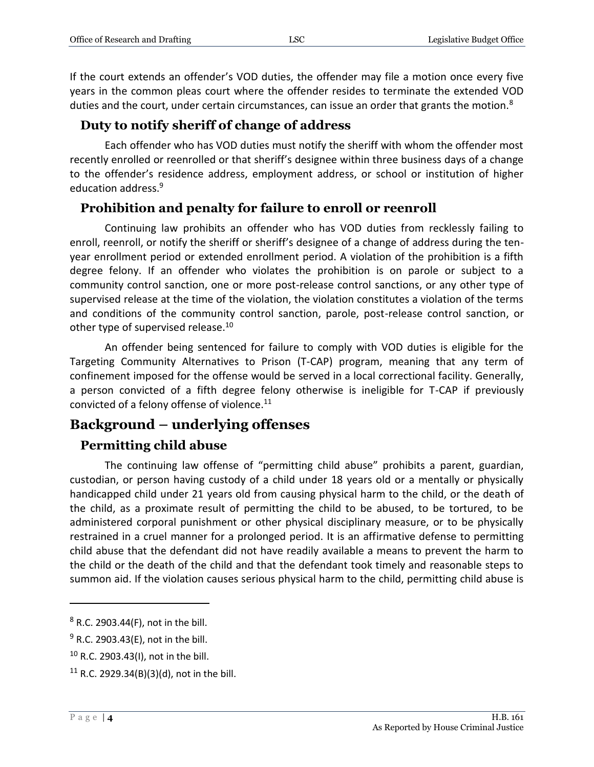If the court extends an offender's VOD duties, the offender may file a motion once every five years in the common pleas court where the offender resides to terminate the extended VOD duties and the court, under certain circumstances, can issue an order that grants the motion. $8$ 

#### **Duty to notify sheriff of change of address**

Each offender who has VOD duties must notify the sheriff with whom the offender most recently enrolled or reenrolled or that sheriff's designee within three business days of a change to the offender's residence address, employment address, or school or institution of higher education address.<sup>9</sup>

#### **Prohibition and penalty for failure to enroll or reenroll**

Continuing law prohibits an offender who has VOD duties from recklessly failing to enroll, reenroll, or notify the sheriff or sheriff's designee of a change of address during the tenyear enrollment period or extended enrollment period. A violation of the prohibition is a fifth degree felony. If an offender who violates the prohibition is on parole or subject to a community control sanction, one or more post-release control sanctions, or any other type of supervised release at the time of the violation, the violation constitutes a violation of the terms and conditions of the community control sanction, parole, post-release control sanction, or other type of supervised release.<sup>10</sup>

An offender being sentenced for failure to comply with VOD duties is eligible for the Targeting Community Alternatives to Prison (T-CAP) program, meaning that any term of confinement imposed for the offense would be served in a local correctional facility. Generally, a person convicted of a fifth degree felony otherwise is ineligible for T-CAP if previously convicted of a felony offense of violence.<sup>11</sup>

### **Background – underlying offenses**

#### **Permitting child abuse**

The continuing law offense of "permitting child abuse" prohibits a parent, guardian, custodian, or person having custody of a child under 18 years old or a mentally or physically handicapped child under 21 years old from causing physical harm to the child, or the death of the child, as a proximate result of permitting the child to be abused, to be tortured, to be administered corporal punishment or other physical disciplinary measure, or to be physically restrained in a cruel manner for a prolonged period. It is an affirmative defense to permitting child abuse that the defendant did not have readily available a means to prevent the harm to the child or the death of the child and that the defendant took timely and reasonable steps to summon aid. If the violation causes serious physical harm to the child, permitting child abuse is

<sup>8</sup> R.C. 2903.44(F), not in the bill.

 $9$  R.C. 2903.43(E), not in the bill.

<sup>10</sup> R.C. 2903.43(I), not in the bill.

<sup>&</sup>lt;sup>11</sup> R.C. 2929.34(B)(3)(d), not in the bill.